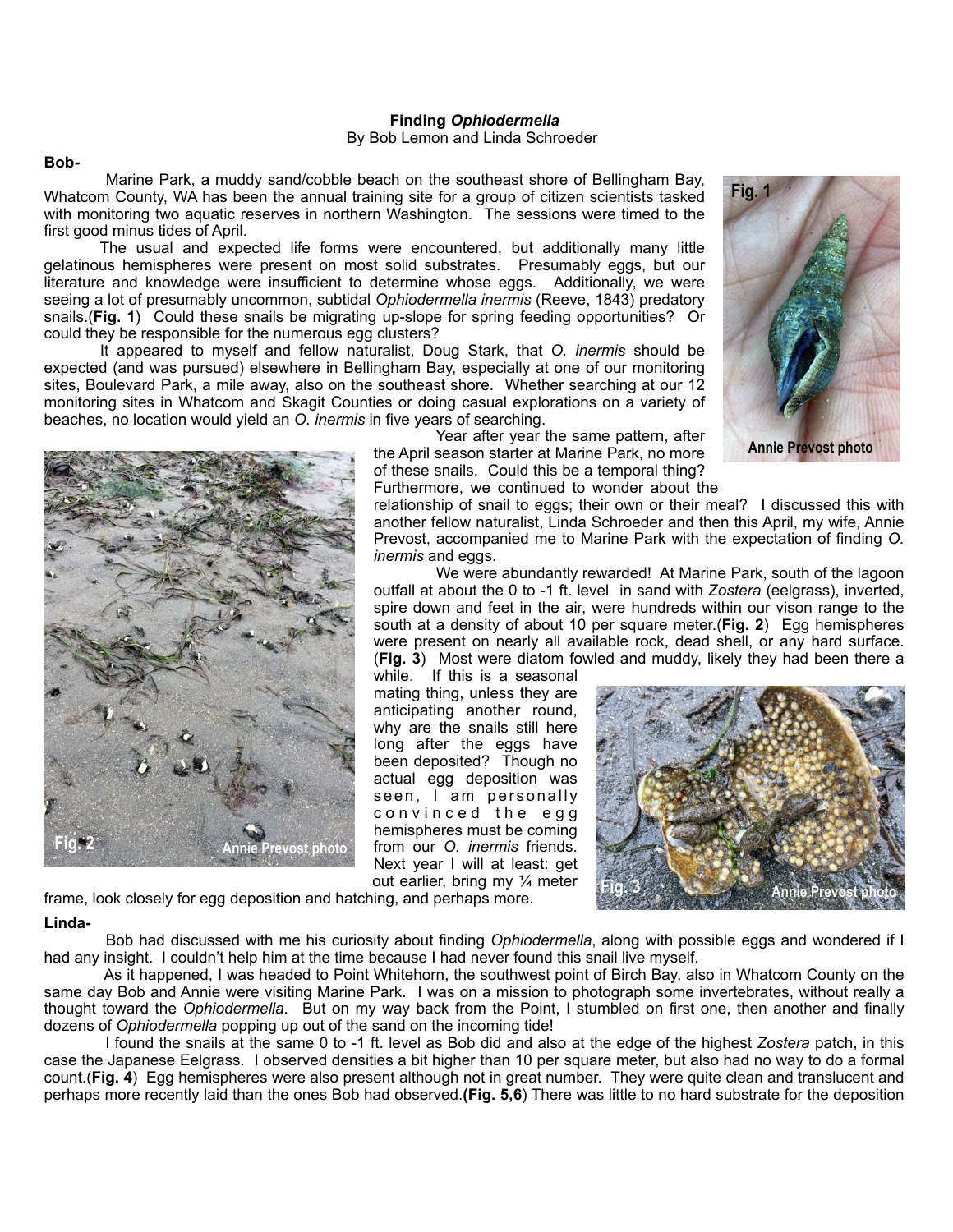#### **Finding** *Ophiodermella* By Bob Lemon and Linda Schroeder

## **Bob-**

 Marine Park, a muddy sand/cobble beach on the southeast shore of Bellingham Bay, Whatcom County, WA has been the annual training site for a group of citizen scientists tasked with monitoring two aquatic reserves in northern Washington. The sessions were timed to the first good minus tides of April.

 The usual and expected life forms were encountered, but additionally many little gelatinous hemispheres were present on most solid substrates. Presumably eggs, but our literature and knowledge were insufficient to determine whose eggs. Additionally, we were seeing a lot of presumably uncommon, subtidal *Ophiodermella inermis* (Reeve, 1843) predatory snails.(**Fig. 1**) Could these snails be migrating up-slope for spring feeding opportunities? Or could they be responsible for the numerous egg clusters?

 It appeared to myself and fellow naturalist, Doug Stark, that *O. inermis* should be expected (and was pursued) elsewhere in Bellingham Bay, especially at one of our monitoring sites, Boulevard Park, a mile away, also on the southeast shore. Whether searching at our 12 monitoring sites in Whatcom and Skagit Counties or doing casual explorations on a variety of beaches, no location would yield an *O. inermis* in five years of searching.



 Year after year the same pattern, after the April season starter at Marine Park, no more of these snails. Could this be a temporal thing? Furthermore, we continued to wonder about the

relationship of snail to eggs; their own or their meal? I discussed this with another fellow naturalist, Linda Schroeder and then this April, my wife, Annie Prevost, accompanied me to Marine Park with the expectation of finding *O. inermis* and eggs.

 We were abundantly rewarded! At Marine Park, south of the lagoon outfall at about the 0 to -1 ft. level in sand with *Zostera* (eelgrass), inverted, spire down and feet in the air, were hundreds within our vison range to the south at a density of about 10 per square meter.(**Fig. 2**) Egg hemispheres were present on nearly all available rock, dead shell, or any hard surface. (**Fig. 3**) Most were diatom fowled and muddy, likely they had been there a

while. If this is a seasonal mating thing, unless they are anticipating another round, why are the snails still here long after the eggs have been deposited? Though no actual egg deposition was seen, I am personally c o n v i n c e d t h e e g g hemispheres must be coming from our *O. inermis* friends. Next year I will at least: get out earlier, bring my ¼ meter



frame, look closely for egg deposition and hatching, and perhaps more.

# **Linda-**

 Bob had discussed with me his curiosity about finding *Ophiodermella*, along with possible eggs and wondered if I had any insight. I couldn't help him at the time because I had never found this snail live myself.

 As it happened, I was headed to Point Whitehorn, the southwest point of Birch Bay, also in Whatcom County on the same day Bob and Annie were visiting Marine Park. I was on a mission to photograph some invertebrates, without really a thought toward the *Ophiodermella*. But on my way back from the Point, I stumbled on first one, then another and finally dozens of *Ophiodermella* popping up out of the sand on the incoming tide!

 I found the snails at the same 0 to -1 ft. level as Bob did and also at the edge of the highest *Zostera* patch, in this case the Japanese Eelgrass. I observed densities a bit higher than 10 per square meter, but also had no way to do a formal count.(**Fig. 4**) Egg hemispheres were also present although not in great number. They were quite clean and translucent and perhaps more recently laid than the ones Bob had observed.**(Fig. 5,6**) There was little to no hard substrate for the deposition



**Annie Prevost photo**